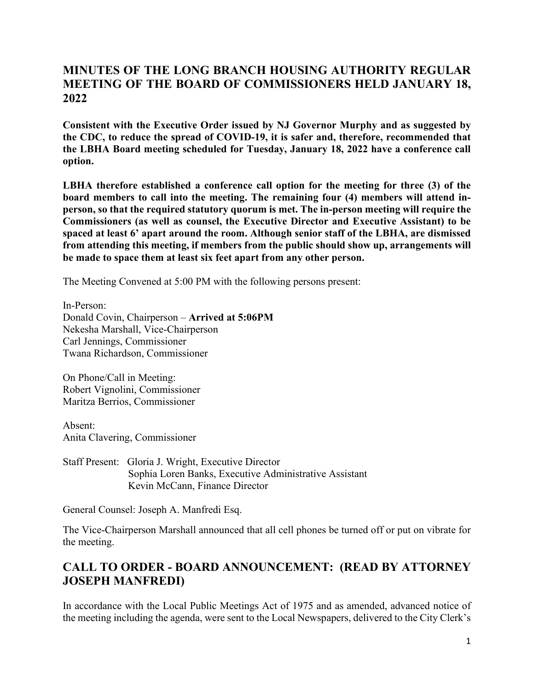### **MINUTES OF THE LONG BRANCH HOUSING AUTHORITY REGULAR MEETING OF THE BOARD OF COMMISSIONERS HELD JANUARY 18, 2022**

**Consistent with the Executive Order issued by NJ Governor Murphy and as suggested by the CDC, to reduce the spread of COVID-19, it is safer and, therefore, recommended that the LBHA Board meeting scheduled for Tuesday, January 18, 2022 have a conference call option.**

**LBHA therefore established a conference call option for the meeting for three (3) of the board members to call into the meeting. The remaining four (4) members will attend inperson, so that the required statutory quorum is met. The in-person meeting will require the Commissioners (as well as counsel, the Executive Director and Executive Assistant) to be spaced at least 6' apart around the room. Although senior staff of the LBHA, are dismissed from attending this meeting, if members from the public should show up, arrangements will be made to space them at least six feet apart from any other person.**

The Meeting Convened at 5:00 PM with the following persons present:

In-Person: Donald Covin, Chairperson – **Arrived at 5:06PM** Nekesha Marshall, Vice-Chairperson Carl Jennings, Commissioner Twana Richardson, Commissioner

On Phone/Call in Meeting: Robert Vignolini, Commissioner Maritza Berrios, Commissioner

Absent: Anita Clavering, Commissioner

Staff Present: Gloria J. Wright, Executive Director Sophia Loren Banks, Executive Administrative Assistant Kevin McCann, Finance Director

General Counsel: Joseph A. Manfredi Esq.

The Vice-Chairperson Marshall announced that all cell phones be turned off or put on vibrate for the meeting.

# **CALL TO ORDER - BOARD ANNOUNCEMENT: (READ BY ATTORNEY JOSEPH MANFREDI)**

In accordance with the Local Public Meetings Act of 1975 and as amended, advanced notice of the meeting including the agenda, were sent to the Local Newspapers, delivered to the City Clerk's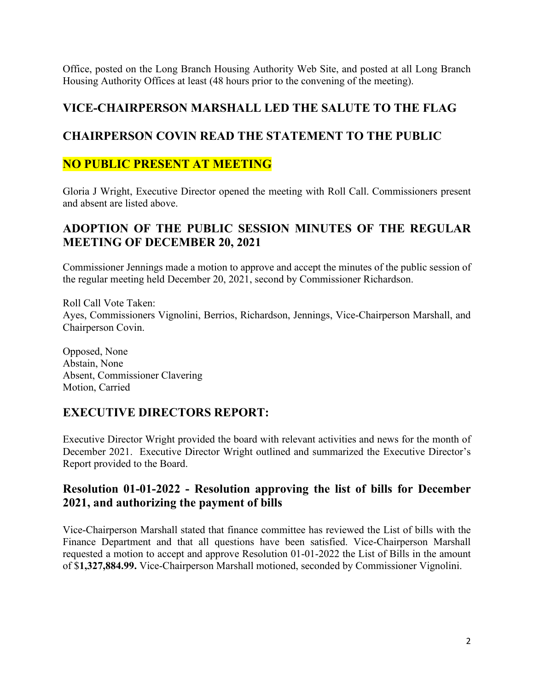Office, posted on the Long Branch Housing Authority Web Site, and posted at all Long Branch Housing Authority Offices at least (48 hours prior to the convening of the meeting).

#### **VICE-CHAIRPERSON MARSHALL LED THE SALUTE TO THE FLAG**

#### **CHAIRPERSON COVIN READ THE STATEMENT TO THE PUBLIC**

#### **NO PUBLIC PRESENT AT MEETING**

Gloria J Wright, Executive Director opened the meeting with Roll Call. Commissioners present and absent are listed above.

#### **ADOPTION OF THE PUBLIC SESSION MINUTES OF THE REGULAR MEETING OF DECEMBER 20, 2021**

Commissioner Jennings made a motion to approve and accept the minutes of the public session of the regular meeting held December 20, 2021, second by Commissioner Richardson.

Roll Call Vote Taken: Ayes, Commissioners Vignolini, Berrios, Richardson, Jennings, Vice-Chairperson Marshall, and Chairperson Covin.

Opposed, None Abstain, None Absent, Commissioner Clavering Motion, Carried

#### **EXECUTIVE DIRECTORS REPORT:**

Executive Director Wright provided the board with relevant activities and news for the month of December 2021. Executive Director Wright outlined and summarized the Executive Director's Report provided to the Board.

#### **Resolution 01-01-2022 - Resolution approving the list of bills for December 2021, and authorizing the payment of bills**

Vice-Chairperson Marshall stated that finance committee has reviewed the List of bills with the Finance Department and that all questions have been satisfied. Vice-Chairperson Marshall requested a motion to accept and approve Resolution 01-01-2022 the List of Bills in the amount of \$**1,327,884.99.** Vice-Chairperson Marshall motioned, seconded by Commissioner Vignolini.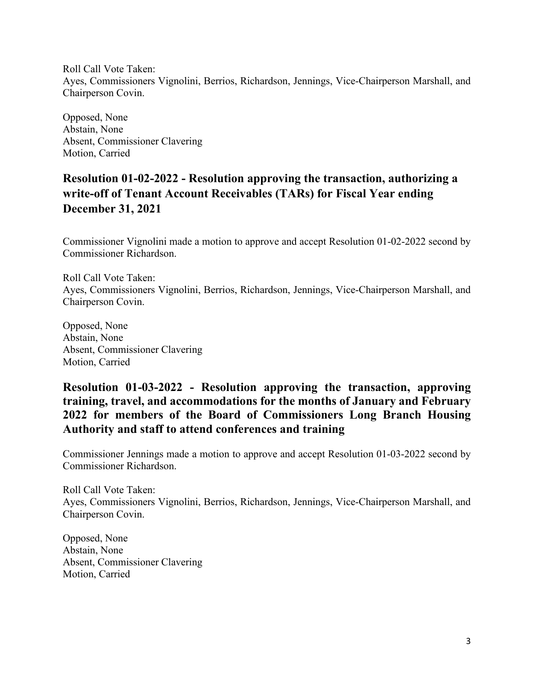Roll Call Vote Taken: Ayes, Commissioners Vignolini, Berrios, Richardson, Jennings, Vice-Chairperson Marshall, and Chairperson Covin.

Opposed, None Abstain, None Absent, Commissioner Clavering Motion, Carried

# **Resolution 01-02-2022 - Resolution approving the transaction, authorizing a write-off of Tenant Account Receivables (TARs) for Fiscal Year ending December 31, 2021**

Commissioner Vignolini made a motion to approve and accept Resolution 01-02-2022 second by Commissioner Richardson.

Roll Call Vote Taken: Ayes, Commissioners Vignolini, Berrios, Richardson, Jennings, Vice-Chairperson Marshall, and Chairperson Covin.

Opposed, None Abstain, None Absent, Commissioner Clavering Motion, Carried

### **Resolution 01-03-2022 - Resolution approving the transaction, approving training, travel, and accommodations for the months of January and February 2022 for members of the Board of Commissioners Long Branch Housing Authority and staff to attend conferences and training**

Commissioner Jennings made a motion to approve and accept Resolution 01-03-2022 second by Commissioner Richardson.

Roll Call Vote Taken: Ayes, Commissioners Vignolini, Berrios, Richardson, Jennings, Vice-Chairperson Marshall, and Chairperson Covin.

Opposed, None Abstain, None Absent, Commissioner Clavering Motion, Carried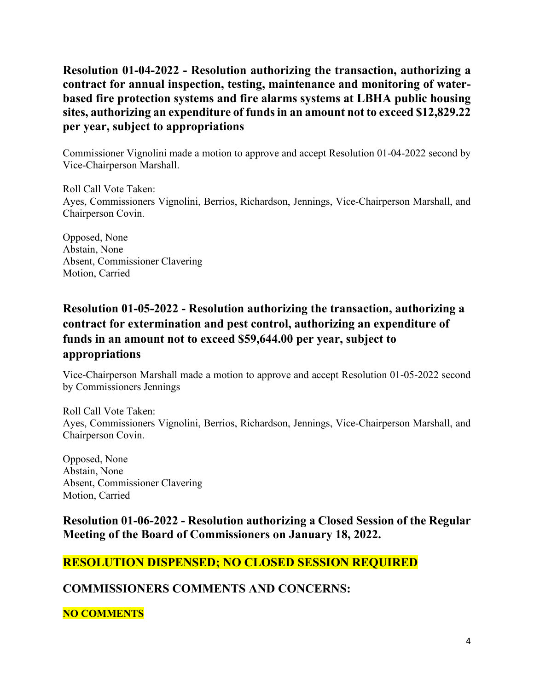**Resolution 01-04-2022 - Resolution authorizing the transaction, authorizing a contract for annual inspection, testing, maintenance and monitoring of waterbased fire protection systems and fire alarms systems at LBHA public housing sites, authorizing an expenditure of funds in an amount not to exceed \$12,829.22 per year, subject to appropriations**

Commissioner Vignolini made a motion to approve and accept Resolution 01-04-2022 second by Vice-Chairperson Marshall.

Roll Call Vote Taken: Ayes, Commissioners Vignolini, Berrios, Richardson, Jennings, Vice-Chairperson Marshall, and Chairperson Covin.

Opposed, None Abstain, None Absent, Commissioner Clavering Motion, Carried

# **Resolution 01-05-2022 - Resolution authorizing the transaction, authorizing a contract for extermination and pest control, authorizing an expenditure of funds in an amount not to exceed \$59,644.00 per year, subject to appropriations**

Vice-Chairperson Marshall made a motion to approve and accept Resolution 01-05-2022 second by Commissioners Jennings

Roll Call Vote Taken: Ayes, Commissioners Vignolini, Berrios, Richardson, Jennings, Vice-Chairperson Marshall, and Chairperson Covin.

Opposed, None Abstain, None Absent, Commissioner Clavering Motion, Carried

**Resolution 01-06-2022 - Resolution authorizing a Closed Session of the Regular Meeting of the Board of Commissioners on January 18, 2022.**

# **RESOLUTION DISPENSED; NO CLOSED SESSION REQUIRED**

**COMMISSIONERS COMMENTS AND CONCERNS:**

**NO COMMENTS**